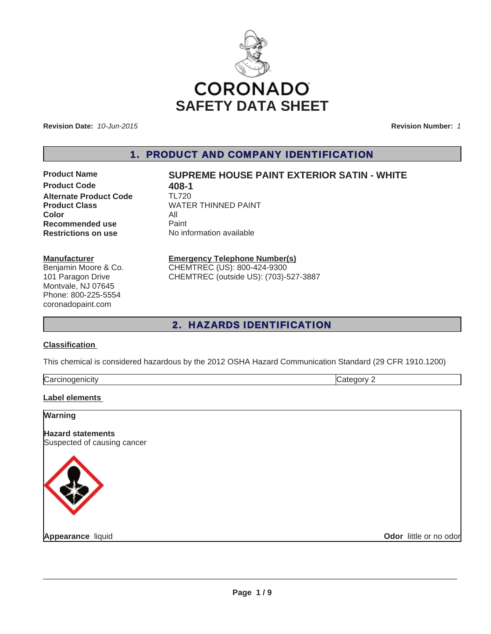

**Revision Date:** *10-Jun-2015*

**Revision Number:** *1*

1. PRODUCT AND COMPANY IDENTIFICATION

**Product Code 408-1**<br>**Alternate Product Code 11720 Alternate Product Code Color** All **Recommended use** Paint<br> **Restrictions on use** No inf

## **Product Name SUPREME HOUSE PAINT EXTERIOR SATIN - WHITE**

**Product Class** WATER THINNED PAINT **No information available** 

#### **Manufacturer**

Benjamin Moore & Co. 101 Paragon Drive Montvale, NJ 07645 Phone: 800-225-5554 coronadopaint.com

# **Emergency Telephone Number(s)**

CHEMTREC (US): 800-424-9300 CHEMTREC (outside US): (703)-527-3887

## 2. HAZARDS IDENTIFICATION

#### **Classification**

This chemical is considered hazardous by the 2012 OSHA Hazard Communication Standard (29 CFR 1910.1200)

| -<br><br>$\sim$ $\sim$ $\sim$ | . . |
|-------------------------------|-----|
|                               |     |

#### **Label elements**

| <b>Warning</b>                                          |                        |
|---------------------------------------------------------|------------------------|
| <b>Hazard statements</b><br>Suspected of causing cancer |                        |
|                                                         |                        |
| Appearance liquid                                       | Odor little or no odor |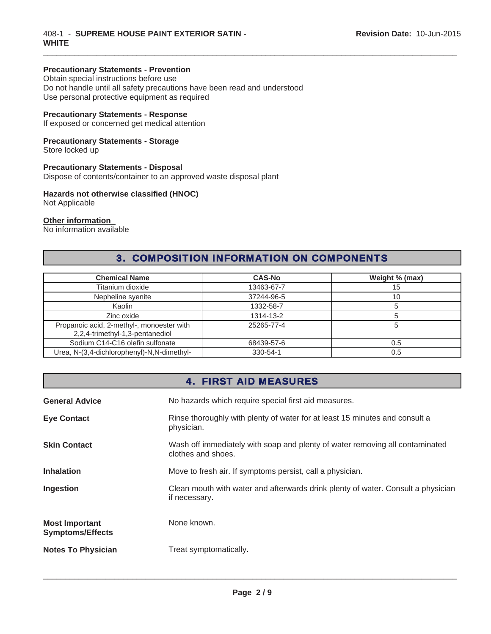#### **Precautionary Statements - Prevention**

Obtain special instructions before use Do not handle until all safety precautions have been read and understood Use personal protective equipment as required

#### **Precautionary Statements - Response**

If exposed or concerned get medical attention

### **Precautionary Statements - Storage**

Store locked up

#### **Precautionary Statements - Disposal**

Dispose of contents/container to an approved waste disposal plant

## **Hazards not otherwise classified (HNOC)**

Not Applicable

#### **Other information**

No information available

# 3. COMPOSITION INFORMATION ON COMPONENTS

 $\_$  ,  $\_$  ,  $\_$  ,  $\_$  ,  $\_$  ,  $\_$  ,  $\_$  ,  $\_$  ,  $\_$  ,  $\_$  ,  $\_$  ,  $\_$  ,  $\_$  ,  $\_$  ,  $\_$  ,  $\_$  ,  $\_$  ,  $\_$  ,  $\_$  ,  $\_$  ,  $\_$  ,  $\_$  ,  $\_$  ,  $\_$  ,  $\_$  ,  $\_$  ,  $\_$  ,  $\_$  ,  $\_$  ,  $\_$  ,  $\_$  ,  $\_$  ,  $\_$  ,  $\_$  ,  $\_$  ,  $\_$  ,  $\_$  ,

| <b>Chemical Name</b>                                                         | <b>CAS-No</b> | Weight % (max) |
|------------------------------------------------------------------------------|---------------|----------------|
| Titanium dioxide                                                             | 13463-67-7    | 15             |
| Nepheline syenite                                                            | 37244-96-5    | 10             |
| Kaolin                                                                       | 1332-58-7     |                |
| Zinc oxide                                                                   | 1314-13-2     |                |
| Propanoic acid, 2-methyl-, monoester with<br>2,2,4-trimethyl-1,3-pentanediol | 25265-77-4    |                |
| Sodium C14-C16 olefin sulfonate                                              | 68439-57-6    | 0.5            |
| Urea, N-(3,4-dichlorophenyl)-N,N-dimethyl-                                   | 330-54-1      | 0.5            |

## 4. FIRST AID MEASURES

| <b>General Advice</b>                            | No hazards which require special first aid measures.                                               |  |
|--------------------------------------------------|----------------------------------------------------------------------------------------------------|--|
| <b>Eye Contact</b>                               | Rinse thoroughly with plenty of water for at least 15 minutes and consult a<br>physician.          |  |
| <b>Skin Contact</b>                              | Wash off immediately with soap and plenty of water removing all contaminated<br>clothes and shoes. |  |
| <b>Inhalation</b>                                | Move to fresh air. If symptoms persist, call a physician.                                          |  |
| Ingestion                                        | Clean mouth with water and afterwards drink plenty of water. Consult a physician<br>if necessary.  |  |
| <b>Most Important</b><br><b>Symptoms/Effects</b> | None known.                                                                                        |  |
| <b>Notes To Physician</b>                        | Treat symptomatically.                                                                             |  |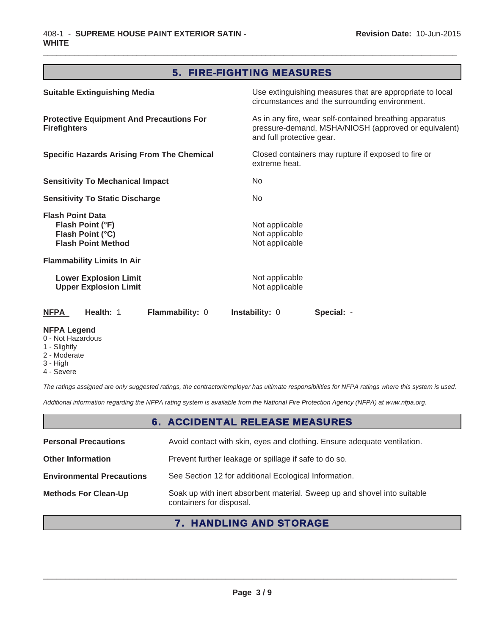## 5. FIRE-FIGHTING MEASURES

 $\_$  ,  $\_$  ,  $\_$  ,  $\_$  ,  $\_$  ,  $\_$  ,  $\_$  ,  $\_$  ,  $\_$  ,  $\_$  ,  $\_$  ,  $\_$  ,  $\_$  ,  $\_$  ,  $\_$  ,  $\_$  ,  $\_$  ,  $\_$  ,  $\_$  ,  $\_$  ,  $\_$  ,  $\_$  ,  $\_$  ,  $\_$  ,  $\_$  ,  $\_$  ,  $\_$  ,  $\_$  ,  $\_$  ,  $\_$  ,  $\_$  ,  $\_$  ,  $\_$  ,  $\_$  ,  $\_$  ,  $\_$  ,  $\_$  ,

| <b>Suitable Extinguishing Media</b>                                                          | Use extinguishing measures that are appropriate to local<br>circumstances and the surrounding environment.                                   |
|----------------------------------------------------------------------------------------------|----------------------------------------------------------------------------------------------------------------------------------------------|
| <b>Protective Equipment And Precautions For</b><br><b>Firefighters</b>                       | As in any fire, wear self-contained breathing apparatus<br>pressure-demand, MSHA/NIOSH (approved or equivalent)<br>and full protective gear. |
| <b>Specific Hazards Arising From The Chemical</b>                                            | Closed containers may rupture if exposed to fire or<br>extreme heat.                                                                         |
| <b>Sensitivity To Mechanical Impact</b>                                                      | No                                                                                                                                           |
| <b>Sensitivity To Static Discharge</b>                                                       | No                                                                                                                                           |
| <b>Flash Point Data</b><br>Flash Point (°F)<br>Flash Point (°C)<br><b>Flash Point Method</b> | Not applicable<br>Not applicable<br>Not applicable                                                                                           |
| <b>Flammability Limits In Air</b>                                                            |                                                                                                                                              |
| <b>Lower Explosion Limit</b><br><b>Upper Explosion Limit</b>                                 | Not applicable<br>Not applicable                                                                                                             |
| <b>NFPA</b><br>Health: 1<br>Flammability: 0                                                  | <b>Instability: 0</b><br>Special: -                                                                                                          |
| <b>NFPA Legend</b>                                                                           |                                                                                                                                              |

- 0 Not Hazardous
- 1 Slightly
- 2 Moderate 3 - High
- 4 Severe

*The ratings assigned are only suggested ratings, the contractor/employer has ultimate responsibilities for NFPA ratings where this system is used.*

*Additional information regarding the NFPA rating system is available from the National Fire Protection Agency (NFPA) at www.nfpa.org.*

# 6. ACCIDENTAL RELEASE MEASURES

| <b>Personal Precautions</b>      | Avoid contact with skin, eyes and clothing. Ensure adequate ventilation.                             |
|----------------------------------|------------------------------------------------------------------------------------------------------|
| <b>Other Information</b>         | Prevent further leakage or spillage if safe to do so.                                                |
| <b>Environmental Precautions</b> | See Section 12 for additional Ecological Information.                                                |
| <b>Methods For Clean-Up</b>      | Soak up with inert absorbent material. Sweep up and shovel into suitable<br>containers for disposal. |

# 7. HANDLING AND STORAGE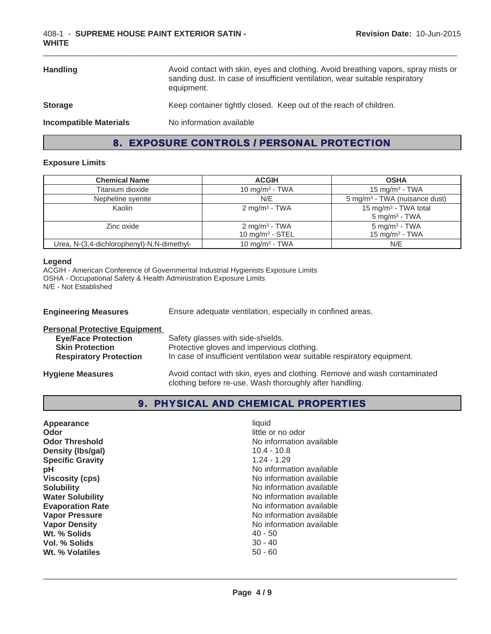| <b>Handling</b>               | Avoid contact with skin, eyes and clothing. Avoid breathing vapors, spray mists or<br>sanding dust. In case of insufficient ventilation, wear suitable respiratory<br>equipment. |
|-------------------------------|----------------------------------------------------------------------------------------------------------------------------------------------------------------------------------|
| <b>Storage</b>                | Keep container tightly closed. Keep out of the reach of children.                                                                                                                |
| <b>Incompatible Materials</b> | No information available                                                                                                                                                         |

# 8. EXPOSURE CONTROLS / PERSONAL PROTECTION

#### **Exposure Limits**

| <b>Chemical Name</b>                       | <b>ACGIH</b>                                   | <b>OSHA</b>                                                     |
|--------------------------------------------|------------------------------------------------|-----------------------------------------------------------------|
| Titanium dioxide                           | 10 mg/m <sup>3</sup> - TWA                     | 15 mg/m <sup>3</sup> - TWA                                      |
| Nepheline syenite                          | N/E                                            | 5 mg/m <sup>3</sup> - TWA (nuisance dust)                       |
| Kaolin                                     | $2 \text{ mg/m}^3$ - TWA                       | 15 mg/m <sup>3</sup> - TWA total<br>$5$ mg/m <sup>3</sup> - TWA |
| Zinc oxide                                 | $2 \text{ mg/m}^3$ - TWA<br>10 mg/m $3 -$ STEL | $5$ mg/m <sup>3</sup> - TWA<br>15 mg/m $3$ - TWA                |
| Urea, N-(3,4-dichlorophenyl)-N,N-dimethyl- | 10 mg/m <sup>3</sup> - TWA                     | N/E                                                             |

#### **Legend**

ACGIH - American Conference of Governmental Industrial Hygienists Exposure Limits OSHA - Occupational Safety & Health Administration Exposure Limits N/E - Not Established

| <b>Engineering Measures</b>          | Ensure adequate ventilation, especially in confined areas.               |
|--------------------------------------|--------------------------------------------------------------------------|
| <b>Personal Protective Equipment</b> |                                                                          |
| <b>Eye/Face Protection</b>           | Safety glasses with side-shields.                                        |
| <b>Skin Protection</b>               | Protective gloves and impervious clothing.                               |
| <b>Respiratory Protection</b>        | In case of insufficient ventilation wear suitable respiratory equipment. |
| <b>Hygiene Measures</b>              | Avoid contact with skin, eyes and clothing. Remove and wash contaminated |

clothing before re-use. Wash thoroughly after handling.

# 9. PHYSICAL AND CHEMICAL PROPERTIES

| Appearance              | liquid                   |
|-------------------------|--------------------------|
| Odor                    | little or no odor        |
| <b>Odor Threshold</b>   | No information available |
| Density (Ibs/gal)       | $10.4 - 10.8$            |
| <b>Specific Gravity</b> | $1.24 - 1.29$            |
| рH                      | No information available |
| <b>Viscosity (cps)</b>  | No information available |
| <b>Solubility</b>       | No information available |
| <b>Water Solubility</b> | No information available |
| <b>Evaporation Rate</b> | No information available |
| <b>Vapor Pressure</b>   | No information available |
| <b>Vapor Density</b>    | No information available |
| Wt. % Solids            | $40 - 50$                |
| Vol. % Solids           | $30 - 40$                |
| Wt. % Volatiles         | $50 - 60$                |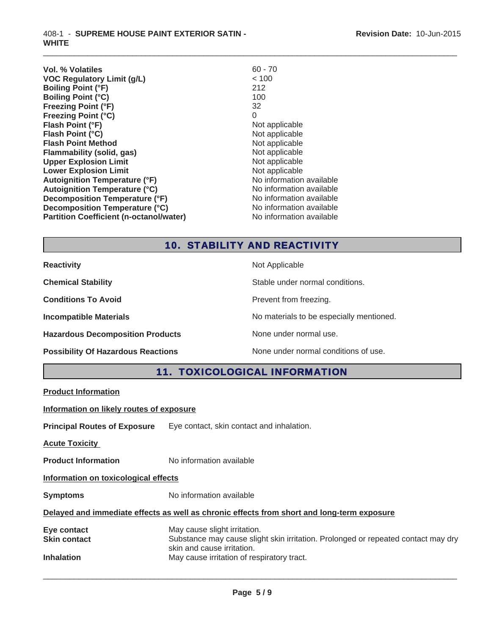| Vol. % Volatiles                               | $60 - 70$                |
|------------------------------------------------|--------------------------|
| <b>VOC Regulatory Limit (g/L)</b>              | < 100                    |
| <b>Boiling Point (°F)</b>                      | 212                      |
| <b>Boiling Point (°C)</b>                      | 100                      |
| <b>Freezing Point (°F)</b>                     | 32                       |
| <b>Freezing Point (°C)</b>                     | 0                        |
| Flash Point (°F)                               | Not applicable           |
| Flash Point (°C)                               | Not applicable           |
| <b>Flash Point Method</b>                      | Not applicable           |
| Flammability (solid, gas)                      | Not applicable           |
| <b>Upper Explosion Limit</b>                   | Not applicable           |
| <b>Lower Explosion Limit</b>                   | Not applicable           |
| <b>Autoignition Temperature (°F)</b>           | No information available |
| <b>Autoignition Temperature (°C)</b>           | No information available |
| Decomposition Temperature (°F)                 | No information available |
| Decomposition Temperature (°C)                 | No information available |
| <b>Partition Coefficient (n-octanol/water)</b> | No information available |

# 10. STABILITY AND REACTIVITY

 $\_$  ,  $\_$  ,  $\_$  ,  $\_$  ,  $\_$  ,  $\_$  ,  $\_$  ,  $\_$  ,  $\_$  ,  $\_$  ,  $\_$  ,  $\_$  ,  $\_$  ,  $\_$  ,  $\_$  ,  $\_$  ,  $\_$  ,  $\_$  ,  $\_$  ,  $\_$  ,  $\_$  ,  $\_$  ,  $\_$  ,  $\_$  ,  $\_$  ,  $\_$  ,  $\_$  ,  $\_$  ,  $\_$  ,  $\_$  ,  $\_$  ,  $\_$  ,  $\_$  ,  $\_$  ,  $\_$  ,  $\_$  ,  $\_$  ,

| <b>Reactivity</b>                         | Not Applicable                           |
|-------------------------------------------|------------------------------------------|
| <b>Chemical Stability</b>                 | Stable under normal conditions.          |
| <b>Conditions To Avoid</b>                | Prevent from freezing.                   |
| <b>Incompatible Materials</b>             | No materials to be especially mentioned. |
| <b>Hazardous Decomposition Products</b>   | None under normal use.                   |
| <b>Possibility Of Hazardous Reactions</b> | None under normal conditions of use.     |

11. TOXICOLOGICAL INFORMATION

|  |  | <b>Product Information</b> |  |  |  |  |  |  |  |
|--|--|----------------------------|--|--|--|--|--|--|--|
|  |  |                            |  |  |  |  |  |  |  |

**Information on likely routes of exposure**

**Principal Routes of Exposure** Eye contact, skin contact and inhalation.

**Acute Toxicity** 

**Product Information** No information available

**Information on toxicological effects**

**Symptoms** No information available

### **Delayed and immediate effects as well as chronic effects from short and long-term exposure**

| Eye contact         | May cause slight irritation.                                                      |
|---------------------|-----------------------------------------------------------------------------------|
| <b>Skin contact</b> | Substance may cause slight skin irritation. Prolonged or repeated contact may dry |
|                     | skin and cause irritation.                                                        |
| <b>Inhalation</b>   | May cause irritation of respiratory tract.                                        |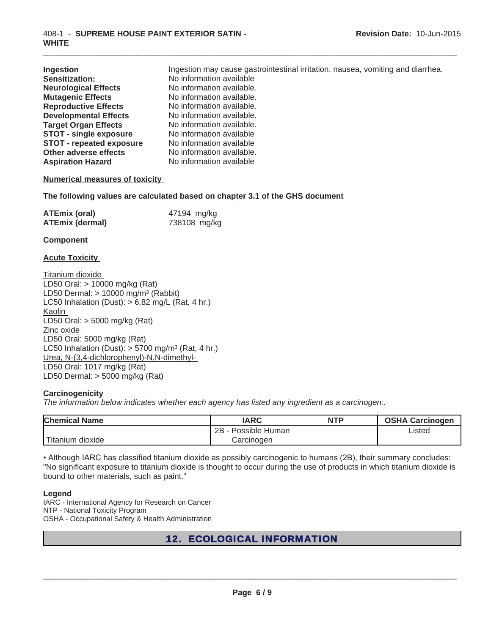| Ingestion                       | Ingestion may cause gastrointestinal irritation, nausea, vomiting and diarrhea. |
|---------------------------------|---------------------------------------------------------------------------------|
| <b>Sensitization:</b>           | No information available                                                        |
| <b>Neurological Effects</b>     | No information available.                                                       |
| <b>Mutagenic Effects</b>        | No information available.                                                       |
| <b>Reproductive Effects</b>     | No information available.                                                       |
| <b>Developmental Effects</b>    | No information available.                                                       |
| <b>Target Organ Effects</b>     | No information available.                                                       |
| <b>STOT - single exposure</b>   | No information available                                                        |
| <b>STOT - repeated exposure</b> | No information available                                                        |
| Other adverse effects           | No information available.                                                       |
| <b>Aspiration Hazard</b>        | No information available                                                        |

 $\_$  ,  $\_$  ,  $\_$  ,  $\_$  ,  $\_$  ,  $\_$  ,  $\_$  ,  $\_$  ,  $\_$  ,  $\_$  ,  $\_$  ,  $\_$  ,  $\_$  ,  $\_$  ,  $\_$  ,  $\_$  ,  $\_$  ,  $\_$  ,  $\_$  ,  $\_$  ,  $\_$  ,  $\_$  ,  $\_$  ,  $\_$  ,  $\_$  ,  $\_$  ,  $\_$  ,  $\_$  ,  $\_$  ,  $\_$  ,  $\_$  ,  $\_$  ,  $\_$  ,  $\_$  ,  $\_$  ,  $\_$  ,  $\_$  ,

#### **Numerical measures of toxicity**

**The following values are calculated based on chapter 3.1 of the GHS document**

| <b>ATEmix (oral)</b>   | 47194 mg/kg  |
|------------------------|--------------|
| <b>ATEmix (dermal)</b> | 738108 mg/kg |

#### **Component**

#### **Acute Toxicity**

Titanium dioxide LD50 Oral: > 10000 mg/kg (Rat) LD50 Dermal:  $> 10000$  mg/m<sup>3</sup> (Rabbit) LC50 Inhalation (Dust): > 6.82 mg/L (Rat, 4 hr.) Kaolin LD50 Oral: > 5000 mg/kg (Rat) Zinc oxide LD50 Oral: 5000 mg/kg (Rat) LC50 Inhalation (Dust):  $> 5700$  mg/m<sup>3</sup> (Rat, 4 hr.) Urea, N-(3,4-dichlorophenyl)-N,N-dimethyl-LD50 Oral: 1017 mg/kg (Rat) LD50 Dermal: > 5000 mg/kg (Rat)

#### **Carcinogenicity**

*The information below indicates whether each agency has listed any ingredient as a carcinogen:.*

| <b>Chemical Name</b> | <b>IARC</b>          | <b>NTP</b> | <b>OSHA Carcinogen</b> |  |
|----------------------|----------------------|------------|------------------------|--|
|                      | 2B<br>Possible Human |            | Listed                 |  |
| Titanium dioxide     | Carcinogen           |            |                        |  |

. Although IARC has classified titanium dioxide as possibly carcinogenic to humans (2B), their summary concludes: "No significant exposure to titanium dioxide is thought to occur during the use of products in which titanium dioxide is bound to other materials, such as paint."

#### **Legend**

IARC - International Agency for Research on Cancer NTP - National Toxicity Program OSHA - Occupational Safety & Health Administration

# 12. ECOLOGICAL INFORMATION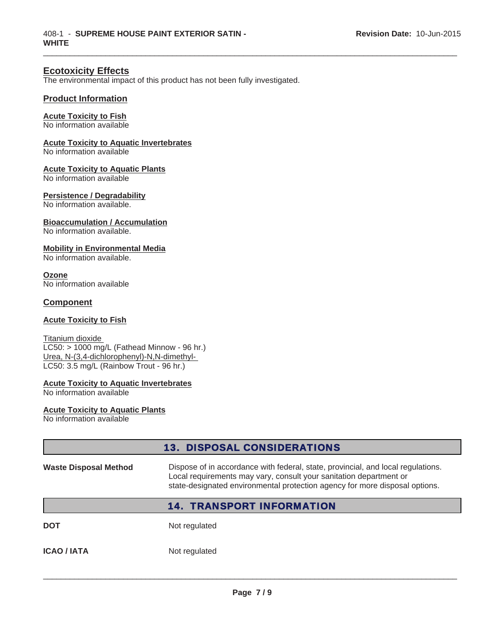## **Ecotoxicity Effects**

The environmental impact of this product has not been fully investigated.

 $\_$  ,  $\_$  ,  $\_$  ,  $\_$  ,  $\_$  ,  $\_$  ,  $\_$  ,  $\_$  ,  $\_$  ,  $\_$  ,  $\_$  ,  $\_$  ,  $\_$  ,  $\_$  ,  $\_$  ,  $\_$  ,  $\_$  ,  $\_$  ,  $\_$  ,  $\_$  ,  $\_$  ,  $\_$  ,  $\_$  ,  $\_$  ,  $\_$  ,  $\_$  ,  $\_$  ,  $\_$  ,  $\_$  ,  $\_$  ,  $\_$  ,  $\_$  ,  $\_$  ,  $\_$  ,  $\_$  ,  $\_$  ,  $\_$  ,

#### **Product Information**

#### **Acute Toxicity to Fish**

No information available

### **Acute Toxicity to Aquatic Invertebrates**

No information available

#### **Acute Toxicity to Aquatic Plants**

No information available

#### **Persistence / Degradability**

No information available.

#### **Bioaccumulation / Accumulation**

No information available.

#### **Mobility in Environmental Media**

No information available.

**Ozone** No information available

#### **Component**

#### **Acute Toxicity to Fish**

Titanium dioxide LC50: > 1000 mg/L (Fathead Minnow - 96 hr.) Urea, N-(3,4-dichlorophenyl)-N,N-dimethyl-LC50: 3.5 mg/L (Rainbow Trout - 96 hr.)

### **Acute Toxicity to Aquatic Invertebrates**

No information available

#### **Acute Toxicity to Aquatic Plants**

No information available

|                              | <b>13. DISPOSAL CONSIDERATIONS</b>                                                                                                                                                                                                    |
|------------------------------|---------------------------------------------------------------------------------------------------------------------------------------------------------------------------------------------------------------------------------------|
| <b>Waste Disposal Method</b> | Dispose of in accordance with federal, state, provincial, and local regulations.<br>Local requirements may vary, consult your sanitation department or<br>state-designated environmental protection agency for more disposal options. |
|                              | <b>14. TRANSPORT INFORMATION</b>                                                                                                                                                                                                      |
| <b>DOT</b>                   | Not regulated                                                                                                                                                                                                                         |
| <b>ICAO / IATA</b>           | Not regulated                                                                                                                                                                                                                         |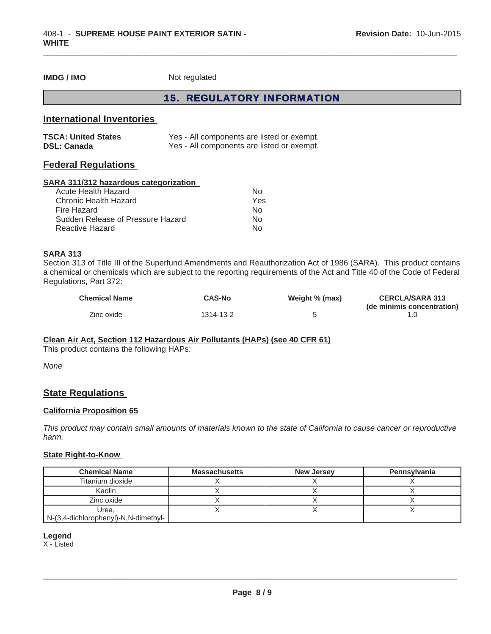**IMDG / IMO** Not regulated

## 15. REGULATORY INFORMATION

 $\_$  ,  $\_$  ,  $\_$  ,  $\_$  ,  $\_$  ,  $\_$  ,  $\_$  ,  $\_$  ,  $\_$  ,  $\_$  ,  $\_$  ,  $\_$  ,  $\_$  ,  $\_$  ,  $\_$  ,  $\_$  ,  $\_$  ,  $\_$  ,  $\_$  ,  $\_$  ,  $\_$  ,  $\_$  ,  $\_$  ,  $\_$  ,  $\_$  ,  $\_$  ,  $\_$  ,  $\_$  ,  $\_$  ,  $\_$  ,  $\_$  ,  $\_$  ,  $\_$  ,  $\_$  ,  $\_$  ,  $\_$  ,  $\_$  ,

## **International Inventories**

| <b>TSCA: United States</b> | Yes - All components are listed or exempt. |
|----------------------------|--------------------------------------------|
| <b>DSL: Canada</b>         | Yes - All components are listed or exempt. |

## **Federal Regulations**

#### **SARA 311/312 hazardous categorization**

| Acute Health Hazard               | N∩  |
|-----------------------------------|-----|
| Chronic Health Hazard             | Yes |
| Fire Hazard                       | N٥  |
| Sudden Release of Pressure Hazard | N٥  |
| Reactive Hazard                   | N∩  |

#### **SARA 313**

Section 313 of Title III of the Superfund Amendments and Reauthorization Act of 1986 (SARA). This product contains a chemical or chemicals which are subject to the reporting requirements of the Act and Title 40 of the Code of Federal Regulations, Part 372:

| <b>Chemical Name</b> | CAS-No    | Weight % (max) | <b>CERCLA/SARA 313</b>     |
|----------------------|-----------|----------------|----------------------------|
|                      |           |                | (de minimis concentration) |
| Zinc oxide           | 1314-13-2 |                |                            |

#### **Clean Air Act, Section 112 Hazardous Air Pollutants (HAPs) (see 40 CFR 61)**

This product contains the following HAPs:

*None*

## **State Regulations**

#### **California Proposition 65**

*This product may contain small amounts of materials known to the state of California to cause cancer or reproductive harm.*

#### **State Right-to-Know**

| <b>Chemical Name</b>                 | <b>Massachusetts</b> | <b>New Jersey</b> | Pennsylvania |
|--------------------------------------|----------------------|-------------------|--------------|
| Titanium dioxide                     |                      |                   |              |
| Kaolin                               |                      |                   |              |
| Zinc oxide                           |                      |                   |              |
| Urea.                                |                      |                   |              |
| N-(3,4-dichlorophenyl)-N,N-dimethyl- |                      |                   |              |

#### **Legend**

X - Listed